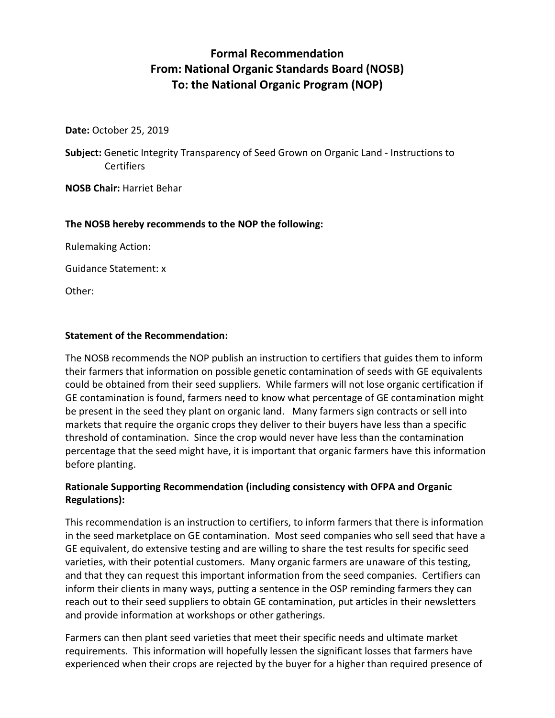# **Formal Recommendation From: National Organic Standards Board (NOSB) To: the National Organic Program (NOP)**

**Date:** October 25, 2019

**Subject:** Genetic Integrity Transparency of Seed Grown on Organic Land - Instructions to **Certifiers** 

**NOSB Chair:** Harriet Behar

# **The NOSB hereby recommends to the NOP the following:**

Rulemaking Action:

Guidance Statement: x

Other:

## **Statement of the Recommendation:**

The NOSB recommends the NOP publish an instruction to certifiers that guides them to inform their farmers that information on possible genetic contamination of seeds with GE equivalents could be obtained from their seed suppliers. While farmers will not lose organic certification if GE contamination is found, farmers need to know what percentage of GE contamination might be present in the seed they plant on organic land. Many farmers sign contracts or sell into markets that require the organic crops they deliver to their buyers have less than a specific threshold of contamination. Since the crop would never have less than the contamination percentage that the seed might have, it is important that organic farmers have this information before planting.

# **Rationale Supporting Recommendation (including consistency with OFPA and Organic Regulations):**

This recommendation is an instruction to certifiers, to inform farmers that there is information in the seed marketplace on GE contamination. Most seed companies who sell seed that have a GE equivalent, do extensive testing and are willing to share the test results for specific seed varieties, with their potential customers. Many organic farmers are unaware of this testing, and that they can request this important information from the seed companies. Certifiers can inform their clients in many ways, putting a sentence in the OSP reminding farmers they can reach out to their seed suppliers to obtain GE contamination, put articles in their newsletters and provide information at workshops or other gatherings.

Farmers can then plant seed varieties that meet their specific needs and ultimate market requirements. This information will hopefully lessen the significant losses that farmers have experienced when their crops are rejected by the buyer for a higher than required presence of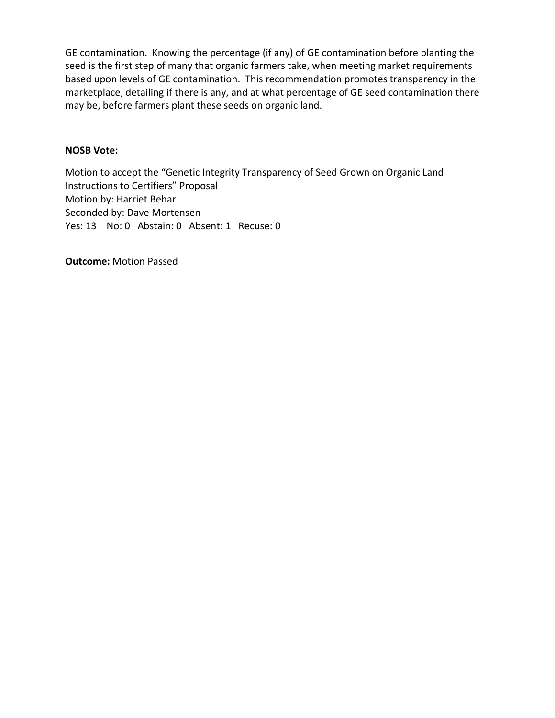GE contamination. Knowing the percentage (if any) of GE contamination before planting the seed is the first step of many that organic farmers take, when meeting market requirements based upon levels of GE contamination. This recommendation promotes transparency in the marketplace, detailing if there is any, and at what percentage of GE seed contamination there may be, before farmers plant these seeds on organic land.

# **NOSB Vote:**

Motion to accept the "Genetic Integrity Transparency of Seed Grown on Organic Land Instructions to Certifiers" Proposal Motion by: Harriet Behar Seconded by: Dave Mortensen Yes: 13 No: 0 Abstain: 0 Absent: 1 Recuse: 0

**Outcome:** Motion Passed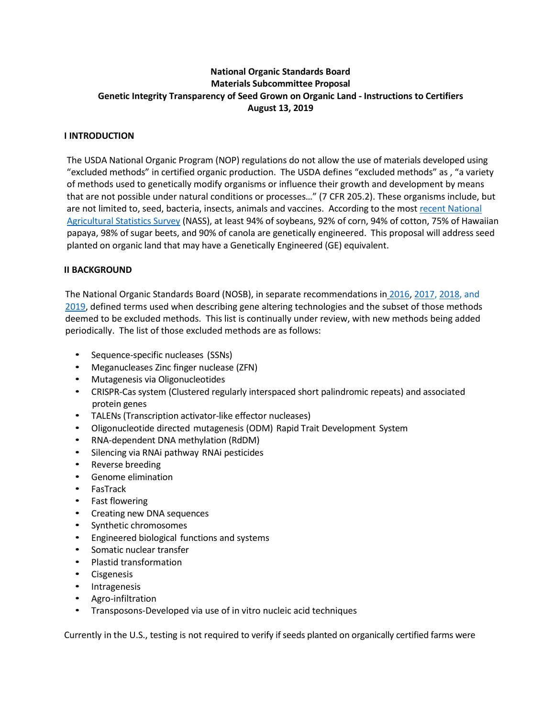## **National Organic Standards Board Materials Subcommittee Proposal Genetic Integrity Transparency of Seed Grown on Organic Land - Instructions to Certifiers August 13, 2019**

#### **I INTRODUCTION**

The USDA National Organic Program (NOP) regulations do not allow the use of materials developed using "excluded methods" in certified organic production. The USDA defines "excluded methods" as , "a variety of methods used to genetically modify organisms or influence their growth and development by means that are not possible under natural conditions or processes…" (7 CFR 205.2). These organisms include, but are not limited to, seed, bacteria, insects, animals and vaccines. According to the most recent National [Agricultural Statistics Survey](https://www.ers.usda.gov/data-products/adoption-of-genetically-engineered-crops-in-the-us/recent-trends-in-ge-adoption.aspx) (NASS), at least 94% of soybeans, 92% of corn, 94% of cotton, 75% of Hawaiian papaya, 98% of sugar beets, and 90% of canola are genetically engineered. This proposal will address seed planted on organic land that may have a Genetically Engineered (GE) equivalent.

#### **II BACKGROUND**

The National Organic Standards Board (NOSB), in separate recommendations in [2016,](https://www.ams.usda.gov/sites/default/files/media/MSExcludedMethods.pdf) [2017,](https://www.ams.usda.gov/sites/default/files/media/MSExcludedMethodsFinalRec.pdf) [2018,](https://www.ams.usda.gov/sites/default/files/media/MSExcludedMethodsRecOct2018.pdf) and [2019,](https://www.ams.usda.gov/sites/default/files/media/MSExcludedMethodsApr2019FinalRec.pdf) defined terms used when describing gene altering technologies and the subset of those methods deemed to be excluded methods. This list is continually under review, with new methods being added periodically. The list of those excluded methods are as follows:

- Sequence-specific nucleases (SSNs)
- Meganucleases Zinc finger nuclease (ZFN)
- Mutagenesis via Oligonucleotides
- CRISPR-Cas system (Clustered regularly interspaced short palindromic repeats) and associated protein genes
- TALENs (Transcription activator-like effector nucleases)
- Oligonucleotide directed mutagenesis (ODM) Rapid Trait Development System
- RNA-dependent DNA methylation (RdDM)
- Silencing via RNAi pathway RNAi pesticides
- Reverse breeding
- Genome elimination
- FasTrack
- Fast flowering
- Creating new DNA sequences
- Synthetic chromosomes
- Engineered biological functions and systems
- Somatic nuclear transfer
- Plastid transformation
- **Cisgenesis**
- Intragenesis
- Agro-infiltration
- Transposons-Developed via use of in vitro nucleic acid techniques

Currently in the U.S., testing is not required to verify if seeds planted on organically certified farms were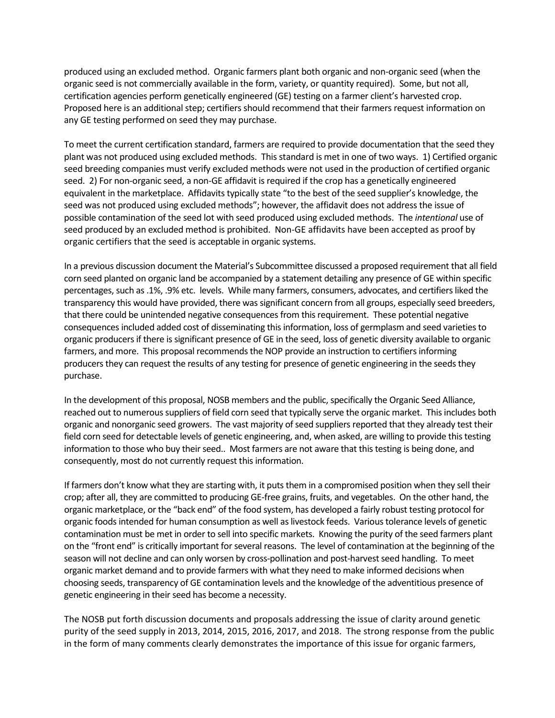produced using an excluded method. Organic farmers plant both organic and non-organic seed (when the organic seed is not commercially available in the form, variety, or quantity required). Some, but not all, certification agencies perform genetically engineered (GE) testing on a farmer client's harvested crop. Proposed here is an additional step; certifiers should recommend that their farmers request information on any GE testing performed on seed they may purchase.

To meet the current certification standard, farmers are required to provide documentation that the seed they plant was not produced using excluded methods. This standard is met in one of two ways. 1) Certified organic seed breeding companies must verify excluded methods were not used in the production of certified organic seed. 2) For non-organic seed, a non-GE affidavit is required if the crop has a genetically engineered equivalent in the marketplace. Affidavits typically state "to the best of the seed supplier's knowledge, the seed was not produced using excluded methods"; however, the affidavit does not address the issue of possible contamination of the seed lot with seed produced using excluded methods. The *intentional* use of seed produced by an excluded method is prohibited. Non-GE affidavits have been accepted as proof by organic certifiers that the seed is acceptable in organic systems.

In a previous discussion document the Material's Subcommittee discussed a proposed requirement that all field corn seed planted on organic land be accompanied by a statement detailing any presence of GE within specific percentages, such as .1%, .9% etc. levels. While many farmers, consumers, advocates, and certifiers liked the transparency this would have provided, there was significant concern from all groups, especially seed breeders, that there could be unintended negative consequences from this requirement. These potential negative consequences included added cost of disseminating this information, loss of germplasm and seed varieties to organic producers if there is significant presence of GE in the seed, loss of genetic diversity available to organic farmers, and more. This proposal recommends the NOP provide an instruction to certifiers informing producers they can request the results of any testing for presence of genetic engineering in the seeds they purchase.

In the development of this proposal, NOSB members and the public, specifically the Organic Seed Alliance, reached out to numerous suppliers of field corn seed that typically serve the organic market. This includes both organic and nonorganic seed growers. The vast majority of seed suppliers reported that they already test their field corn seed for detectable levels of genetic engineering, and, when asked, are willing to provide this testing information to those who buy their seed.. Most farmers are not aware that this testing is being done, and consequently, most do not currently request this information.

If farmers don't know what they are starting with, it puts them in a compromised position when they sell their crop; after all, they are committed to producing GE-free grains, fruits, and vegetables. On the other hand, the organic marketplace, or the "back end" of the food system, has developed a fairly robust testing protocol for organic foods intended for human consumption as well as livestock feeds. Various tolerance levels of genetic contamination must be met in order to sell into specific markets. Knowing the purity of the seed farmers plant on the "front end" is critically important for several reasons. The level of contamination at the beginning of the season will not decline and can only worsen by cross-pollination and post-harvest seed handling. To meet organic market demand and to provide farmers with what they need to make informed decisions when choosing seeds, transparency of GE contamination levels and the knowledge of the adventitious presence of genetic engineering in their seed has become a necessity.

The NOSB put forth discussion documents and proposals addressing the issue of clarity around genetic purity of the seed supply in 2013, 2014, 2015, 2016, 2017, and 2018. The strong response from the public in the form of many comments clearly demonstrates the importance of this issue for organic farmers,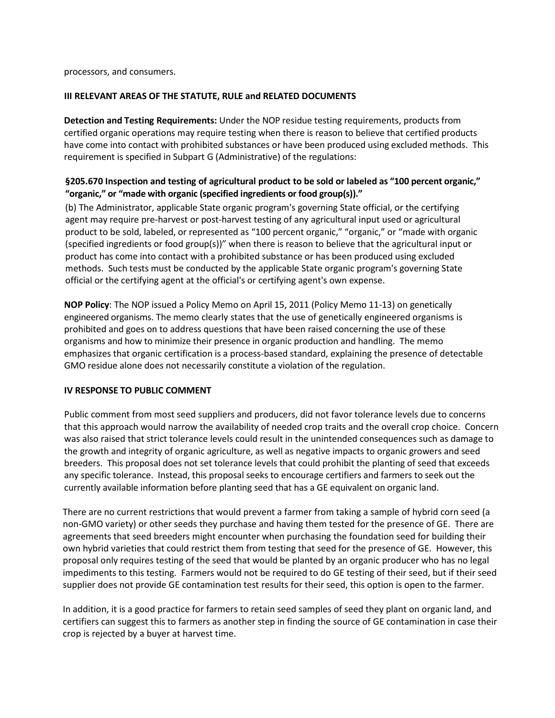processors, and consumers.

#### **III RELEVANT AREAS OF THE STATUTE, RULE and RELATED DOCUMENTS**

**Detection and Testing Requirements:** Under the NOP residue testing requirements, products from certified organic operations may require testing when there is reason to believe that certified products have come into contact with prohibited substances or have been produced using excluded methods. This requirement is specified in Subpart G (Administrative) of the regulations:

## **§205.670 Inspection and testing of agricultural product to be sold or labeled as "100 percent organic," "organic," or "made with organic (specified ingredients or food group(s))."**

(b) The Administrator, applicable State organic program's governing State official, or the certifying agent may require pre-harvest or post-harvest testing of any agricultural input used or agricultural product to be sold, labeled, or represented as "100 percent organic," "organic," or "made with organic (specified ingredients or food group(s))" when there is reason to believe that the agricultural input or product has come into contact with a prohibited substance or has been produced using excluded methods. Such tests must be conducted by the applicable State organic program's governing State official or the certifying agent at the official's or certifying agent's own expense.

**NOP Policy**: The NOP issued a Policy Memo on April 15, 2011 (Policy Memo 11-13) on genetically engineered organisms. The memo clearly states that the use of genetically engineered organisms is prohibited and goes on to address questions that have been raised concerning the use of these organisms and how to minimize their presence in organic production and handling. The memo emphasizes that organic certification is a process-based standard, explaining the presence of detectable GMO residue alone does not necessarily constitute a violation of the regulation.

#### **IV RESPONSE TO PUBLIC COMMENT**

Public comment from most seed suppliers and producers, did not favor tolerance levels due to concerns that this approach would narrow the availability of needed crop traits and the overall crop choice. Concern was also raised that strict tolerance levels could result in the unintended consequences such as damage to the growth and integrity of organic agriculture, as well as negative impacts to organic growers and seed breeders. This proposal does not set tolerance levels that could prohibit the planting of seed that exceeds any specific tolerance. Instead, this proposal seeks to encourage certifiers and farmers to seek out the currently available information before planting seed that has a GE equivalent on organic land.

There are no current restrictions that would prevent a farmer from taking a sample of hybrid corn seed (a non-GMO variety) or other seeds they purchase and having them tested for the presence of GE. There are agreements that seed breeders might encounter when purchasing the foundation seed for building their own hybrid varieties that could restrict them from testing that seed for the presence of GE. However, this proposal only requires testing of the seed that would be planted by an organic producer who has no legal impediments to this testing. Farmers would not be required to do GE testing of their seed, but if their seed supplier does not provide GE contamination test results for their seed, this option is open to the farmer.

In addition, it is a good practice for farmers to retain seed samples of seed they plant on organic land, and certifiers can suggest this to farmers as another step in finding the source of GE contamination in case their crop is rejected by a buyer at harvest time.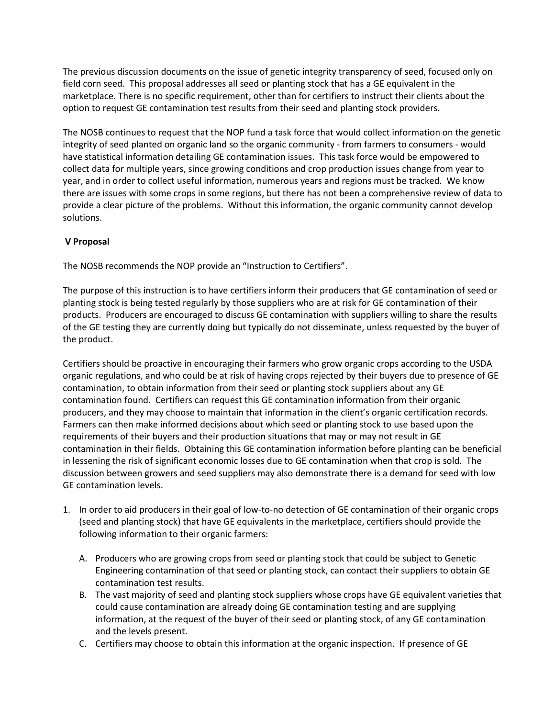The previous discussion documents on the issue of genetic integrity transparency of seed, focused only on field corn seed. This proposal addresses all seed or planting stock that has a GE equivalent in the marketplace. There is no specific requirement, other than for certifiers to instruct their clients about the option to request GE contamination test results from their seed and planting stock providers.

The NOSB continues to request that the NOP fund a task force that would collect information on the genetic integrity of seed planted on organic land so the organic community - from farmers to consumers - would have statistical information detailing GE contamination issues. This task force would be empowered to collect data for multiple years, since growing conditions and crop production issues change from year to year, and in order to collect useful information, numerous years and regions must be tracked. We know there are issues with some crops in some regions, but there has not been a comprehensive review of data to provide a clear picture of the problems. Without this information, the organic community cannot develop solutions.

## **V Proposal**

The NOSB recommends the NOP provide an "Instruction to Certifiers".

The purpose of this instruction is to have certifiers inform their producers that GE contamination of seed or planting stock is being tested regularly by those suppliers who are at risk for GE contamination of their products. Producers are encouraged to discuss GE contamination with suppliers willing to share the results of the GE testing they are currently doing but typically do not disseminate, unless requested by the buyer of the product.

Certifiers should be proactive in encouraging their farmers who grow organic crops according to the USDA organic regulations, and who could be at risk of having crops rejected by their buyers due to presence of GE contamination, to obtain information from their seed or planting stock suppliers about any GE contamination found. Certifiers can request this GE contamination information from their organic producers, and they may choose to maintain that information in the client's organic certification records. Farmers can then make informed decisions about which seed or planting stock to use based upon the requirements of their buyers and their production situations that may or may not result in GE contamination in their fields. Obtaining this GE contamination information before planting can be beneficial in lessening the risk of significant economic losses due to GE contamination when that crop is sold. The discussion between growers and seed suppliers may also demonstrate there is a demand for seed with low GE contamination levels.

- 1. In order to aid producers in their goal of low-to-no detection of GE contamination of their organic crops (seed and planting stock) that have GE equivalents in the marketplace, certifiers should provide the following information to their organic farmers:
	- A. Producers who are growing crops from seed or planting stock that could be subject to Genetic Engineering contamination of that seed or planting stock, can contact their suppliers to obtain GE contamination test results.
	- B. The vast majority of seed and planting stock suppliers whose crops have GE equivalent varieties that could cause contamination are already doing GE contamination testing and are supplying information, at the request of the buyer of their seed or planting stock, of any GE contamination and the levels present.
	- C. Certifiers may choose to obtain this information at the organic inspection. If presence of GE